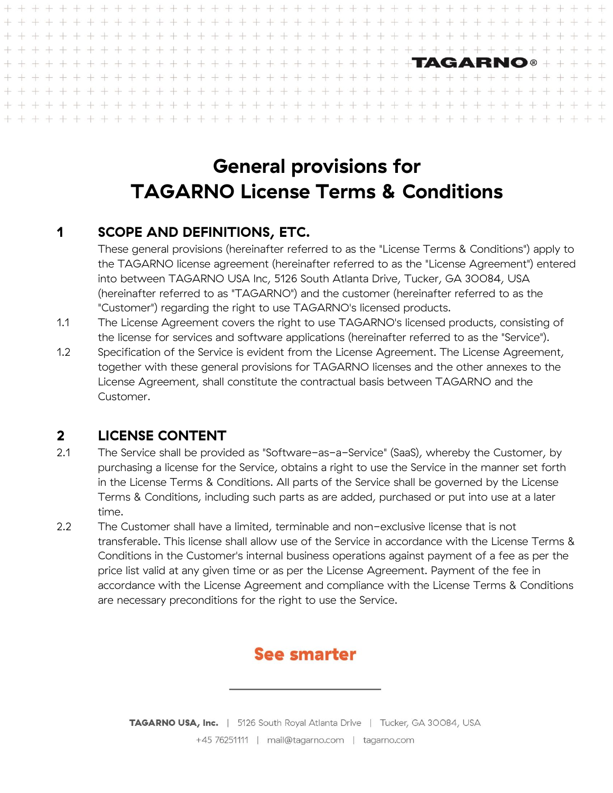# **General provisions for TAGARNO License Terms & Conditions**

 $-1$ 

 $\perp$  $\pm 1$  $\mathbb{L}$  $\pm 1$ 

 $\perp$ 

 $\perp$ 

 $\pm$  $\perp$ 

 $\perp$ 

 $\pm 1$ -l  $-1$ 

#### <span id="page-0-0"></span>**1 SCOPE AND DEFINITIONS, ETC.**

These general provisions (hereinafter referred to as the "License Terms & Conditions") apply to the TAGARNO license agreement (hereinafter referred to as the "License Agreement") entered into between TAGARNO USA Inc, 5126 South Atlanta Drive, Tucker, GA 30084, USA (hereinafter referred to as "TAGARNO") and the customer (hereinafter referred to as the "Customer") regarding the right to use TAGARNO's licensed products.

 $\pm 1$  $\perp$ 

 $\pm 1$ 

 $\perp$ 

 $\perp$  $\perp$ 

 $+ +$ 

 $\perp$ 

 $\perp$ 

上工工

TAGARNO®

 $\pm 1$  $\pm 1$  $\pm 1$ 

上上  $\perp$  $\perp$ 

- 1.1 The License Agreement covers the right to use TAGARNO's licensed products, consisting of the license for services and software applications (hereinafter referred to as the "Service").
- 1.2 Specification of the Service is evident from the License Agreement. The License Agreement, together with these general provisions for TAGARNO licenses and the other annexes to the License Agreement, shall constitute the contractual basis between TAGARNO and the Customer.

#### **2 LICENSE CONTENT**

- 2.1 The Service shall be provided as "Software-as-a-Service" (SaaS), whereby the Customer, by purchasing a license for the Service, obtains a right to use the Service in the manner set forth in the License Terms & Conditions. All parts of the Service shall be governed by the License Terms & Conditions, including such parts as are added, purchased or put into use at a later time.
- 2.2 The Customer shall have a limited, terminable and non-exclusive license that is not transferable. This license shall allow use of the Service in accordance with the License Terms & Conditions in the Customer's internal business operations against payment of a fee as per the price list valid at any given time or as per the License Agreement. Payment of the fee in accordance with the License Agreement and compliance with the License Terms & Conditions are necessary preconditions for the right to use the Service.

#### **See smarter**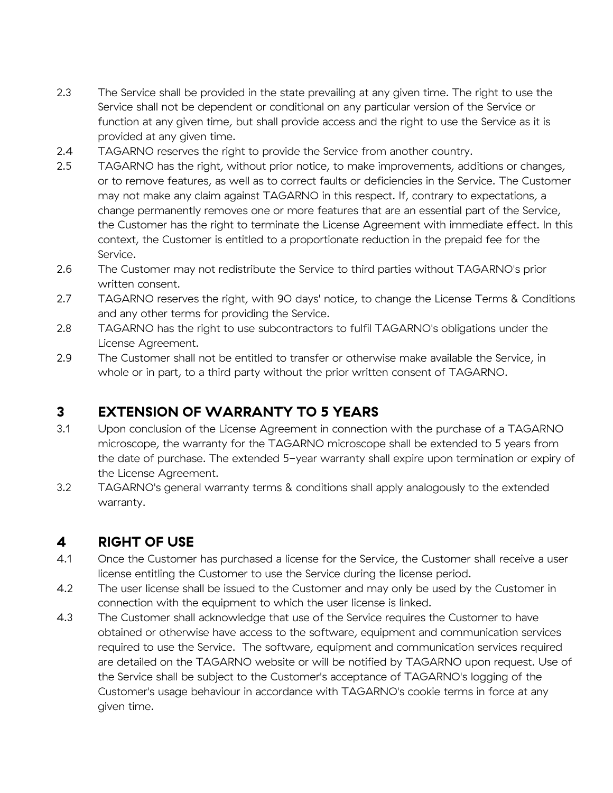- 2.3 The Service shall be provided in the state prevailing at any given time. The right to use the Service shall not be dependent or conditional on any particular version of the Service or function at any given time, but shall provide access and the right to use the Service as it is provided at any given time.
- 2.4 TAGARNO reserves the right to provide the Service from another country.
- 2.5 TAGARNO has the right, without prior notice, to make improvements, additions or changes, or to remove features, as well as to correct faults or deficiencies in the Service. The Customer may not make any claim against TAGARNO in this respect. If, contrary to expectations, a change permanently removes one or more features that are an essential part of the Service, the Customer has the right to terminate the License Agreement with immediate effect. In this context, the Customer is entitled to a proportionate reduction in the prepaid fee for the Service.
- 2.6 The Customer may not redistribute the Service to third parties without TAGARNO's prior written consent.
- 2.7 TAGARNO reserves the right, with 90 days' notice, to change the License Terms & Conditions and any other terms for providing the Service.
- 2.8 TAGARNO has the right to use subcontractors to fulfil TAGARNO's obligations under the License Agreement.
- 2.9 The Customer shall not be entitled to transfer or otherwise make available the Service, in whole or in part, to a third party without the prior written consent of TAGARNO.

#### **3 EXTENSION OF WARRANTY TO 5 YEARS**

- 3.1 Upon conclusion of the License Agreement in connection with the purchase of a TAGARNO microscope, the warranty for the TAGARNO microscope shall be extended to 5 years from the date of purchase. The extended 5-year warranty shall expire upon termination or expiry of the License Agreement.
- 3.2 TAGARNO's general warranty terms & conditions shall apply analogously to the extended warranty.

#### **4 RIGHT OF USE**

- 4.1 Once the Customer has purchased a license for the Service, the Customer shall receive a user license entitling the Customer to use the Service during the license period.
- 4.2 The user license shall be issued to the Customer and may only be used by the Customer in connection with the equipment to which the user license is linked.
- 4.3 The Customer shall acknowledge that use of the Service requires the Customer to have obtained or otherwise have access to the software, equipment and communication services required to use the Service. The software, equipment and communication services required are detailed on the TAGARNO website or will be notified by TAGARNO upon request. Use of the Service shall be subject to the Customer's acceptance of TAGARNO's logging of the Customer's usage behaviour in accordance with TAGARNO's cookie terms in force at any given time.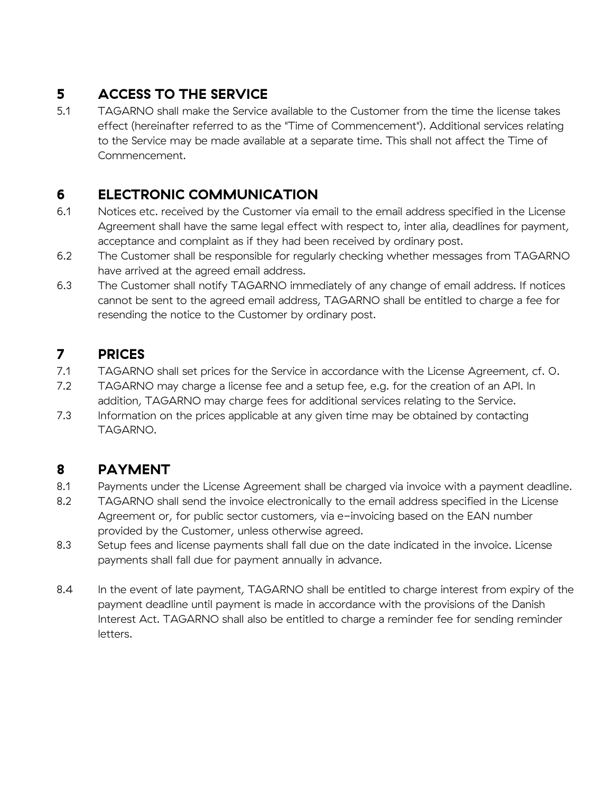# **5 ACCESS TO THE SERVICE**

5.1 TAGARNO shall make the Service available to the Customer from the time the license takes effect (hereinafter referred to as the "Time of Commencement"). Additional services relating to the Service may be made available at a separate time. This shall not affect the Time of Commencement.

#### **6 ELECTRONIC COMMUNICATION**

- 6.1 Notices etc. received by the Customer via email to the email address specified in the License Agreement shall have the same legal effect with respect to, inter alia, deadlines for payment, acceptance and complaint as if they had been received by ordinary post.
- 6.2 The Customer shall be responsible for regularly checking whether messages from TAGARNO have arrived at the agreed email address.
- 6.3 The Customer shall notify TAGARNO immediately of any change of email address. If notices cannot be sent to the agreed email address, TAGARNO shall be entitled to charge a fee for resending the notice to the Customer by ordinary post.

#### <span id="page-2-0"></span>**7 PRICES**

- 7.1 TAGARNO shall set prices for the Service in accordance with the License Agreement, cf. [0.](#page-0-0)
- 7.2 TAGARNO may charge a license fee and a setup fee, e.g. for the creation of an API. In addition, TAGARNO may charge fees for additional services relating to the Service.
- 7.3 Information on the prices applicable at any given time may be obtained by contacting TAGARNO.

## **8 PAYMENT**

- 8.1 Payments under the License Agreement shall be charged via invoice with a payment deadline.
- 8.2 TAGARNO shall send the invoice electronically to the email address specified in the License Agreement or, for public sector customers, via e-invoicing based on the EAN number provided by the Customer, unless otherwise agreed.
- 8.3 Setup fees and license payments shall fall due on the date indicated in the invoice. License payments shall fall due for payment annually in advance.
- 8.4 In the event of late payment, TAGARNO shall be entitled to charge interest from expiry of the payment deadline until payment is made in accordance with the provisions of the Danish Interest Act. TAGARNO shall also be entitled to charge a reminder fee for sending reminder letters.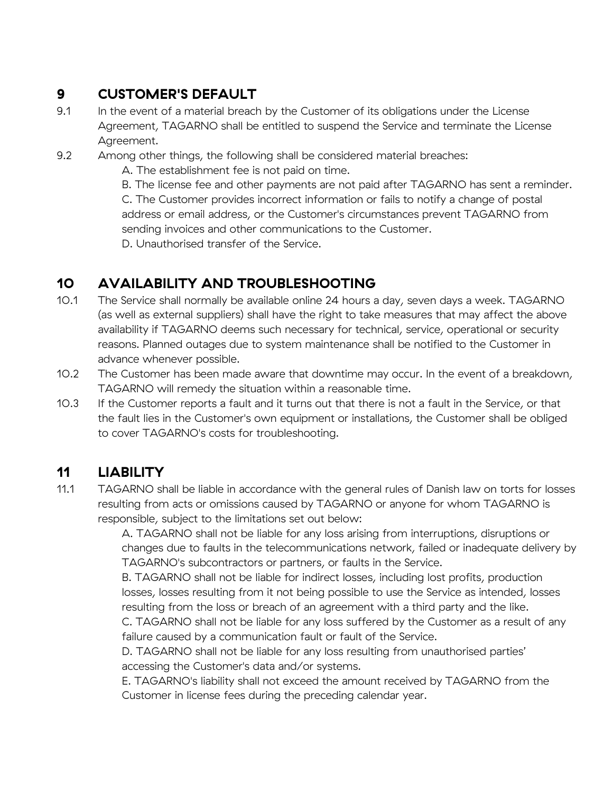# **9 CUSTOMER'S DEFAULT**

9.1 In the event of a material breach by the Customer of its obligations under the License Agreement, TAGARNO shall be entitled to suspend the Service and terminate the License Agreement.

9.2 Among other things, the following shall be considered material breaches:

A. The establishment fee is not paid on time.

B. The license fee and other payments are not paid after TAGARNO has sent a reminder. C. The Customer provides incorrect information or fails to notify a change of postal address or email address, or the Customer's circumstances prevent TAGARNO from sending invoices and other communications to the Customer. D. Unauthorised transfer of the Service.

## **10 AVAILABILITY AND TROUBLESHOOTING**

- 10.1 The Service shall normally be available online 24 hours a day, seven days a week. TAGARNO (as well as external suppliers) shall have the right to take measures that may affect the above availability if TAGARNO deems such necessary for technical, service, operational or security reasons. Planned outages due to system maintenance shall be notified to the Customer in advance whenever possible.
- 10.2 The Customer has been made aware that downtime may occur. In the event of a breakdown, TAGARNO will remedy the situation within a reasonable time.
- 10.3 If the Customer reports a fault and it turns out that there is not a fault in the Service, or that the fault lies in the Customer's own equipment or installations, the Customer shall be obliged to cover TAGARNO's costs for troubleshooting.

## <span id="page-3-0"></span>**11 LIABILITY**

11.1 TAGARNO shall be liable in accordance with the general rules of Danish law on torts for losses resulting from acts or omissions caused by TAGARNO or anyone for whom TAGARNO is responsible, subject to the limitations set out below:

> A. TAGARNO shall not be liable for any loss arising from interruptions, disruptions or changes due to faults in the telecommunications network, failed or inadequate delivery by TAGARNO's subcontractors or partners, or faults in the Service.

B. TAGARNO shall not be liable for indirect losses, including lost profits, production losses, losses resulting from it not being possible to use the Service as intended, losses resulting from the loss or breach of an agreement with a third party and the like. C. TAGARNO shall not be liable for any loss suffered by the Customer as a result of any

failure caused by a communication fault or fault of the Service.

D. TAGARNO shall not be liable for any loss resulting from unauthorised parties' accessing the Customer's data and/or systems.

E. TAGARNO's liability shall not exceed the amount received by TAGARNO from the Customer in license fees during the preceding calendar year.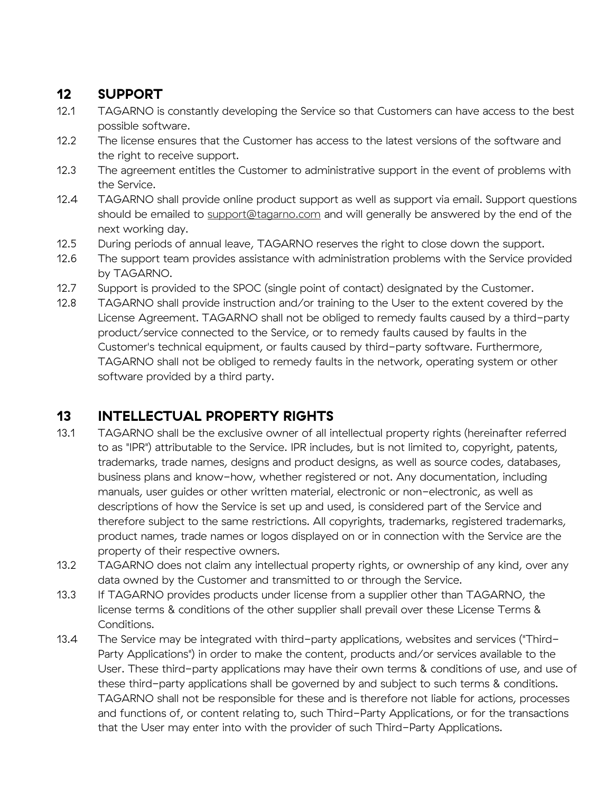## **12 SUPPORT**

- 12.1 TAGARNO is constantly developing the Service so that Customers can have access to the best possible software.
- 12.2 The license ensures that the Customer has access to the latest versions of the software and the right to receive support.
- 12.3 The agreement entitles the Customer to administrative support in the event of problems with the Service.
- 12.4 TAGARNO shall provide online product support as well as support via email. Support questions should be emailed to [support@tagarno.com](mailto:support@tagarno.com) and will generally be answered by the end of the next working day.
- 12.5 During periods of annual leave, TAGARNO reserves the right to close down the support.
- 12.6 The support team provides assistance with administration problems with the Service provided by TAGARNO.
- 12.7 Support is provided to the SPOC (single point of contact) designated by the Customer.
- 12.8 TAGARNO shall provide instruction and/or training to the User to the extent covered by the License Agreement. TAGARNO shall not be obliged to remedy faults caused by a third-party product/service connected to the Service, or to remedy faults caused by faults in the Customer's technical equipment, or faults caused by third-party software. Furthermore, TAGARNO shall not be obliged to remedy faults in the network, operating system or other software provided by a third party.

## **13 INTELLECTUAL PROPERTY RIGHTS**

- 13.1 TAGARNO shall be the exclusive owner of all intellectual property rights (hereinafter referred to as "IPR") attributable to the Service. IPR includes, but is not limited to, copyright, patents, trademarks, trade names, designs and product designs, as well as source codes, databases, business plans and know-how, whether registered or not. Any documentation, including manuals, user guides or other written material, electronic or non-electronic, as well as descriptions of how the Service is set up and used, is considered part of the Service and therefore subject to the same restrictions. All copyrights, trademarks, registered trademarks, product names, trade names or logos displayed on or in connection with the Service are the property of their respective owners.
- 13.2 TAGARNO does not claim any intellectual property rights, or ownership of any kind, over any data owned by the Customer and transmitted to or through the Service.
- 13.3 If TAGARNO provides products under license from a supplier other than TAGARNO, the license terms & conditions of the other supplier shall prevail over these License Terms & Conditions.
- 13.4 The Service may be integrated with third-party applications, websites and services ("Third-Party Applications") in order to make the content, products and/or services available to the User. These third-party applications may have their own terms & conditions of use, and use of these third-party applications shall be governed by and subject to such terms & conditions. TAGARNO shall not be responsible for these and is therefore not liable for actions, processes and functions of, or content relating to, such Third-Party Applications, or for the transactions that the User may enter into with the provider of such Third-Party Applications.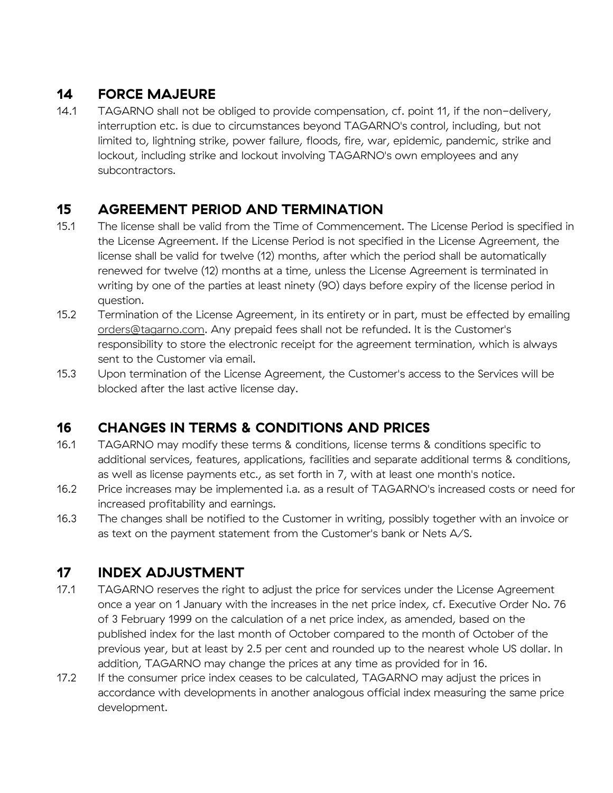## **14 FORCE MAJEURE**

14.1 TAGARNO shall not be obliged to provide compensation, cf. point [11,](#page-3-0) if the non-delivery, interruption etc. is due to circumstances beyond TAGARNO's control, including, but not limited to, lightning strike, power failure, floods, fire, war, epidemic, pandemic, strike and lockout, including strike and lockout involving TAGARNO's own employees and any subcontractors.

## **15 AGREEMENT PERIOD AND TERMINATION**

- 15.1 The license shall be valid from the Time of Commencement. The License Period is specified in the License Agreement. If the License Period is not specified in the License Agreement, the license shall be valid for twelve (12) months, after which the period shall be automatically renewed for twelve (12) months at a time, unless the License Agreement is terminated in writing by one of the parties at least ninety (90) days before expiry of the license period in question.
- 15.2 Termination of the License Agreement, in its entirety or in part, must be effected by emailing [orders@tagarno.com.](mailto:orders@tagarno.com) Any prepaid fees shall not be refunded. It is the Customer's responsibility to store the electronic receipt for the agreement termination, which is always sent to the Customer via email.
- 15.3 Upon termination of the License Agreement, the Customer's access to the Services will be blocked after the last active license day.

## <span id="page-5-0"></span>**16 CHANGES IN TERMS & CONDITIONS AND PRICES**

- 16.1 TAGARNO may modify these terms & conditions, license terms & conditions specific to additional services, features, applications, facilities and separate additional terms & conditions, as well as license payments etc., as set forth in [7,](#page-2-0) with at least one month's notice.
- 16.2 Price increases may be implemented i.a. as a result of TAGARNO's increased costs or need for increased profitability and earnings.
- 16.3 The changes shall be notified to the Customer in writing, possibly together with an invoice or as text on the payment statement from the Customer's bank or Nets A/S.

#### **17 INDEX ADJUSTMENT**

- 17.1 TAGARNO reserves the right to adjust the price for services under the License Agreement once a year on 1 January with the increases in the net price index, cf. Executive Order No. 76 of 3 February 1999 on the calculation of a net price index, as amended, based on the published index for the last month of October compared to the month of October of the previous year, but at least by 2.5 per cent and rounded up to the nearest whole US dollar. In addition, TAGARNO may change the prices at any time as provided for in [16.](#page-5-0)
- 17.2 If the consumer price index ceases to be calculated, TAGARNO may adjust the prices in accordance with developments in another analogous official index measuring the same price development.